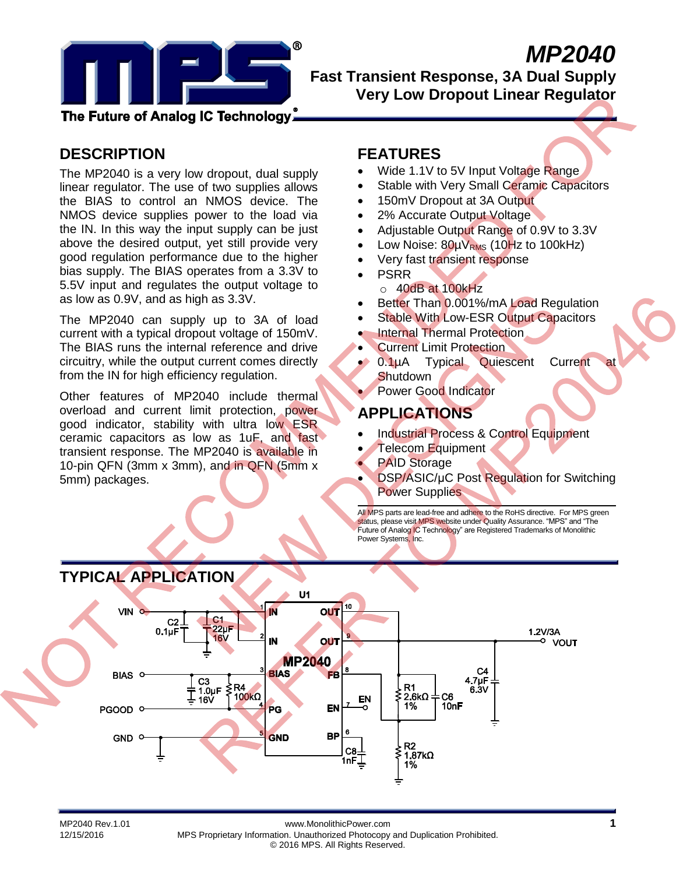

# *MP2040*

**Fast Transient Response, 3A Dual Supply Very Low Dropout Linear Regulator**

The Future of Analog IC Technology,

# **DESCRIPTION**

The MP2040 is a very low dropout, dual supply linear regulator. The use of two supplies allows the BIAS to control an NMOS device. The NMOS device supplies power to the load via the IN. In this way the input supply can be just above the desired output, yet still provide very good regulation performance due to the higher bias supply. The BIAS operates from a 3.3V to 5.5V input and regulates the output voltage to as low as 0.9V, and as high as 3.3V.

The MP2040 can supply up to 3A of load current with a typical dropout voltage of 150mV. The BIAS runs the internal reference and drive circuitry, while the output current comes directly from the IN for high efficiency regulation.

Other features of MP2040 include thermal overload and current limit protection, power good indicator, stability with ultra low ESR ceramic capacitors as low as 1uF, and fast transient response. The MP2040 is available in 10-pin QFN (3mm x 3mm), and in QFN (5mm x 5mm) packages.

### **FEATURES**

- Wide 1.1V to 5V Input Voltage Range
- Stable with Very Small Ceramic Capacitors
- 150mV Dropout at 3A Output
- 2% Accurate Output Voltage
- Adjustable Output Range of 0.9V to 3.3V
- Low Noise:  $80\mu V_{RMS}$  (10Hz to 100kHz)
- Very fast transient response
- PSRR o 40dB at 100kHz
- Better Than 0.001%/mA Load Regulation
- Stable With Low-ESR Output Capacitors
- Internal Thermal Protection
- Current Limit Protection
- $\bullet$  0.1µA Typical Quiescent Current **Shutdown** 
	- Power Good Indicator

## **APPLICATIONS**

- Industrial Process & Control Equipment
- Telecom Equipment
- PAID Storage
- DSP/ASIC/μC Post Regulation for Switching **Power Supplies**

All MPS parts are lead-free and adhere to the RoHS directive. For MPS green status, please visit MPS website under Quality Assurance. "MPS" and "The Future of Analog IC Technology" are Registered Trademarks of Monolithic Power Systems, Inc.

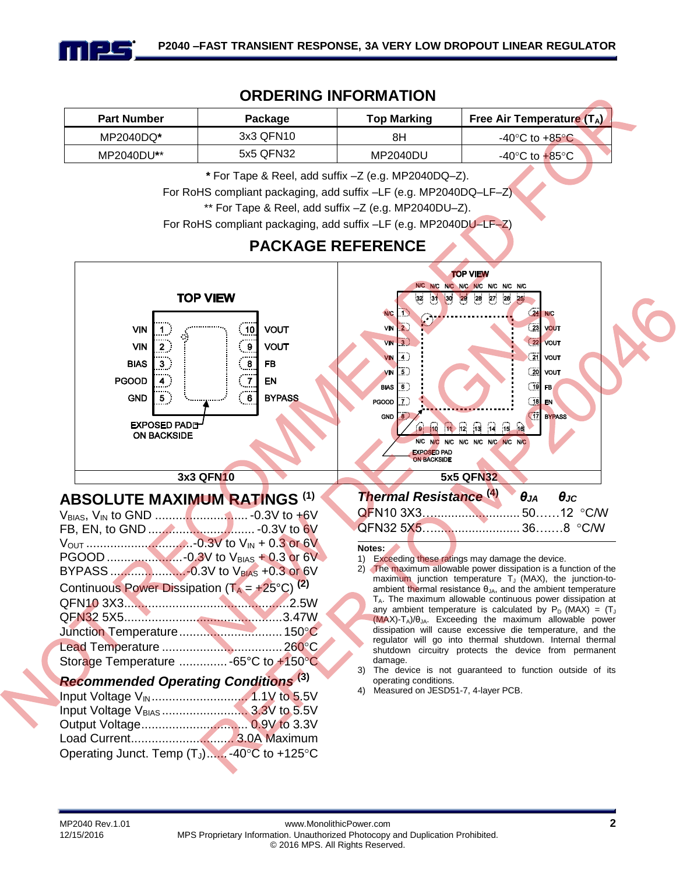

### **ORDERING INFORMATION**

| <b>Part Number</b> | Packaqe   | <b>Free Air Temperature (TA)</b><br><b>Top Marking</b> |                                    |  |
|--------------------|-----------|--------------------------------------------------------|------------------------------------|--|
| MP2040DQ*          | 3x3 QFN10 | 8H                                                     | -40 $\degree$ C to +85 $\degree$ C |  |
| MP2040DU**         | 5x5 QFN32 | MP2040DU                                               | -40°C to $+85$ °C                  |  |

**\*** For Tape & Reel, add suffix –Z (e.g. MP2040DQ–Z).

For RoHS compliant packaging, add suffix –LF (e.g. MP2040DQ–LF–Z)

\*\* For Tape & Reel, add suffix –Z (e.g. MP2040DU–Z).

For RoHS compliant packaging, add suffix –LF (e.g. MP2040DU–LF–Z)

### **PACKAGE REFERENCE**

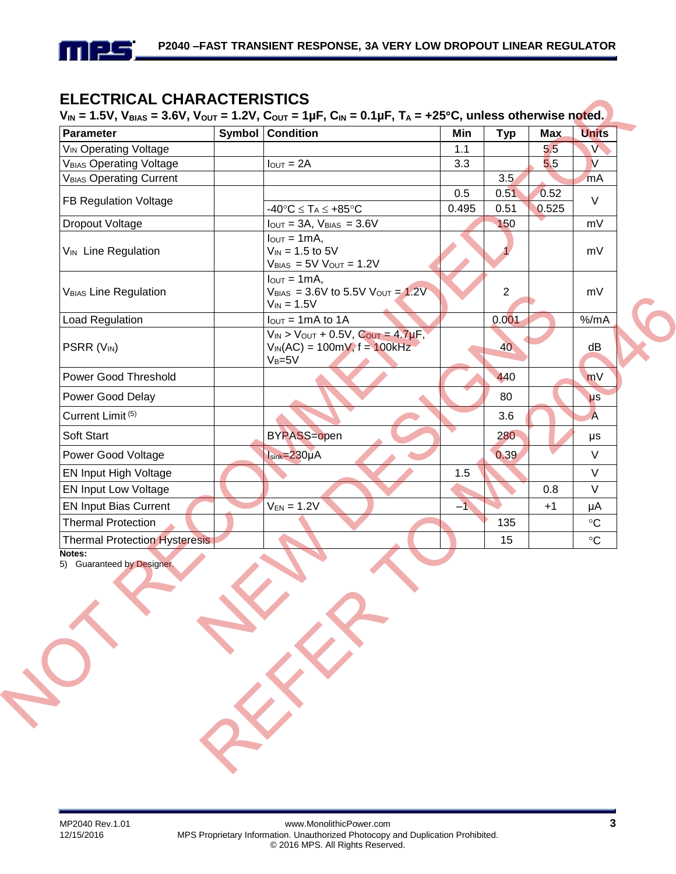

# **ELECTRICAL CHARACTERISTICS**

### $V_{IN} = 1.5V$ ,  $V_{BIAS} = 3.6V$ ,  $V_{OUT} = 1.2V$ ,  $C_{OUT} = 1\mu$ F,  $C_{IN} = 0.1\mu$ F,  $T_A = +25^{\circ}C$ , unless otherwise noted.

| <b>Parameter</b>                               |  | <b>Symbol Condition</b>                                                                           | Min   | <b>Typ</b>     | <b>Max</b> | <b>Units</b>    |  |
|------------------------------------------------|--|---------------------------------------------------------------------------------------------------|-------|----------------|------------|-----------------|--|
| <b>V<sub>IN</sub></b> Operating Voltage        |  |                                                                                                   | 1.1   |                | 5.5        | $\mathsf{V}$    |  |
| <b>VBIAS Operating Voltage</b>                 |  | $I_{\text{OUT}} = 2A$                                                                             | 3.3   |                | 5.5        | $\vee$          |  |
| V <sub>BIAS</sub> Operating Current            |  |                                                                                                   |       | 3.5            |            | mA              |  |
| FB Regulation Voltage                          |  |                                                                                                   | 0.5   | 0.51           | 0.52       | V               |  |
|                                                |  | $-40^{\circ}C \leq T_A \leq +85^{\circ}C$                                                         | 0.495 | 0.51           | 0.525      |                 |  |
| Dropout Voltage                                |  | $I_{OUT} = 3A$ , $V_{BIAS} = 3.6V$                                                                |       | 150            |            | mV              |  |
| V <sub>IN</sub> Line Regulation                |  | $I_{\text{OUT}} = 1 \text{mA}$ ,<br>$V_{IN} = 1.5$ to 5V<br>$V_{BIAS}$ = 5V $V_{OUT}$ = 1.2V      |       |                |            | mV              |  |
| <b>VBIAS Line Regulation</b>                   |  | $I_{\text{OUT}} = 1 \text{mA}$<br>$V_{BIAS} = 3.6V$ to 5.5V $V_{OUT} = 1.2V$<br>$V_{IN} = 1.5V$   |       | $\overline{2}$ |            | mV              |  |
| Load Regulation                                |  | $I_{\text{OUT}} = 1 \text{mA}$ to 1A                                                              |       | 0.001          |            | % /mA           |  |
| PSRR (V <sub>IN</sub> )                        |  | $V_{IN}$ > $V_{OUT}$ + 0.5V, $C_{OUT}$ = 4.7µF,<br>$V_{IN}(AC) = 100mV, f = 100kHz$<br>$V_B = 5V$ |       | 40             |            | dB              |  |
| <b>Power Good Threshold</b>                    |  |                                                                                                   |       | 440            |            | mV              |  |
| Power Good Delay                               |  |                                                                                                   |       | 80             |            | $\mu s$         |  |
| Current Limit <sup>(5)</sup>                   |  |                                                                                                   |       | 3.6            |            | $\overline{A}$  |  |
| Soft Start                                     |  | <b>BYPASS=open</b>                                                                                |       | 280            |            | μs              |  |
| Power Good Voltage                             |  | $Isink = 230\mu A$                                                                                |       | 0.39           |            | $\vee$          |  |
| EN Input High Voltage                          |  |                                                                                                   | 1.5   |                |            | $\vee$          |  |
| <b>EN Input Low Voltage</b>                    |  |                                                                                                   |       |                | 0.8        | $\vee$          |  |
| <b>EN Input Bias Current</b>                   |  | $-1$<br>$V_{EN} = 1.2V$                                                                           |       | $+1$           | μA         |                 |  |
| <b>Thermal Protection</b>                      |  |                                                                                                   |       | 135            |            | $\rm ^{\circ}C$ |  |
| <b>Thermal Protection Hysteresis</b><br>Notes: |  |                                                                                                   |       | 15             |            | $\rm ^{\circ}C$ |  |

5) Guaranteed by Designer.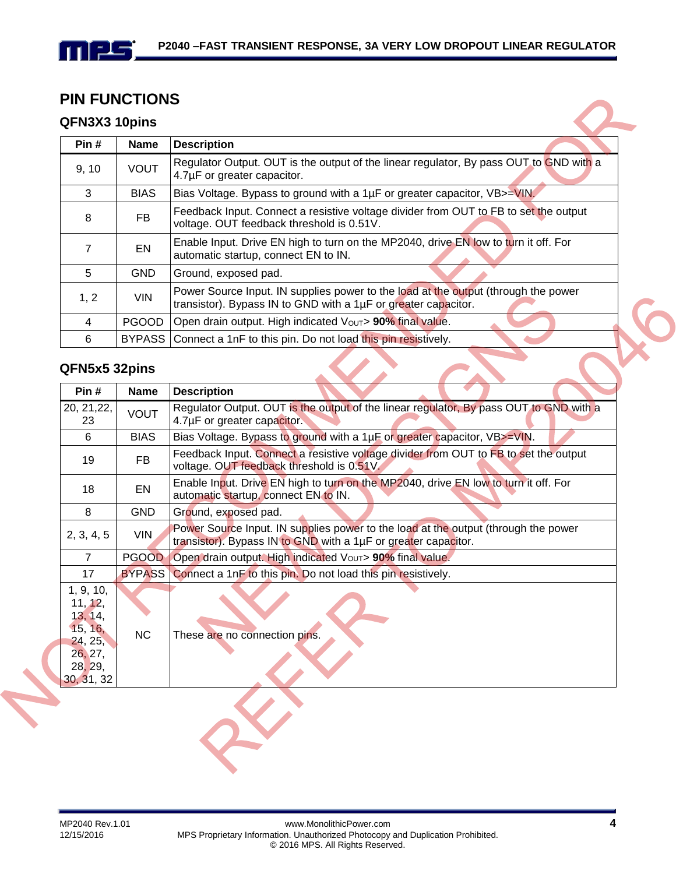### **PIN FUNCTIONS**

### **QFN3X3 10pins**

mps

| <b>UFNJAJ TUPINS</b> |             |                                                                                                                                                      |  |
|----------------------|-------------|------------------------------------------------------------------------------------------------------------------------------------------------------|--|
| Pin #                | <b>Name</b> | <b>Description</b>                                                                                                                                   |  |
| 9, 10                | <b>VOUT</b> | Regulator Output. OUT is the output of the linear regulator, By pass OUT to GND with a<br>4.7µF or greater capacitor.                                |  |
| 3                    | <b>BIAS</b> | Bias Voltage. Bypass to ground with a 1µF or greater capacitor, VB>=VIN.                                                                             |  |
| 8                    | <b>FB</b>   | Feedback Input. Connect a resistive voltage divider from OUT to FB to set the output<br>voltage. OUT feedback threshold is 0.51V.                    |  |
| 7                    | EN          | Enable Input. Drive EN high to turn on the MP2040, drive EN low to turn it off. For<br>automatic startup, connect EN to IN.                          |  |
| 5                    | GND         | Ground, exposed pad.                                                                                                                                 |  |
| 1, 2                 | <b>VIN</b>  | Power Source Input. IN supplies power to the load at the output (through the power<br>transistor). Bypass IN to GND with a 1µF or greater capacitor. |  |
| 4                    | PGOOD       | Open drain output. High indicated Vout> 90% final value.                                                                                             |  |
| 6                    |             | BYPASS Connect a 1nF to this pin. Do not load this pin resistively.                                                                                  |  |
| QFN5x5 32pins        |             |                                                                                                                                                      |  |
| Pin#                 | <b>Name</b> | <b>Description</b>                                                                                                                                   |  |

### **QFN5x5 32pins**

| Pin #                                                                                     | <b>Name</b> | <b>Description</b>                                                                                                                                   |  |  |
|-------------------------------------------------------------------------------------------|-------------|------------------------------------------------------------------------------------------------------------------------------------------------------|--|--|
| 20, 21, 22,<br>23                                                                         | <b>VOUT</b> | Regulator Output. OUT is the output of the linear regulator, By pass OUT to GND with a<br>4.7µF or greater capacitor.                                |  |  |
| 6                                                                                         | <b>BIAS</b> | Bias Voltage. Bypass to ground with a 1µF or greater capacitor, VB>=VIN.                                                                             |  |  |
| 19                                                                                        | FB          | Feedback Input. Connect a resistive voltage divider from OUT to FB to set the output<br>voltage. OUT feedback threshold is 0.51V.                    |  |  |
| 18                                                                                        | EN          | Enable Input. Drive EN high to turn on the MP2040, drive EN low to turn it off. For<br>automatic startup, connect EN to IN.                          |  |  |
| 8                                                                                         | <b>GND</b>  | Ground, exposed pad.                                                                                                                                 |  |  |
| 2, 3, 4, 5                                                                                | <b>VIN</b>  | Power Source Input. IN supplies power to the load at the output (through the power<br>transistor). Bypass IN to GND with a 1µF or greater capacitor. |  |  |
| $\overline{7}$                                                                            |             | PGOOD   Open drain output. High indicated Vout> 90% final value.                                                                                     |  |  |
| 17                                                                                        |             | BYPASS Connect a 1nF to this pin. Do not load this pin resistively.                                                                                  |  |  |
| 1, 9, 10,<br>11, 12,<br>13, 14,<br>15, 16,<br>24, 25,<br>26, 27,<br>28, 29,<br>30, 31, 32 | <b>NC</b>   | These are no connection pins.                                                                                                                        |  |  |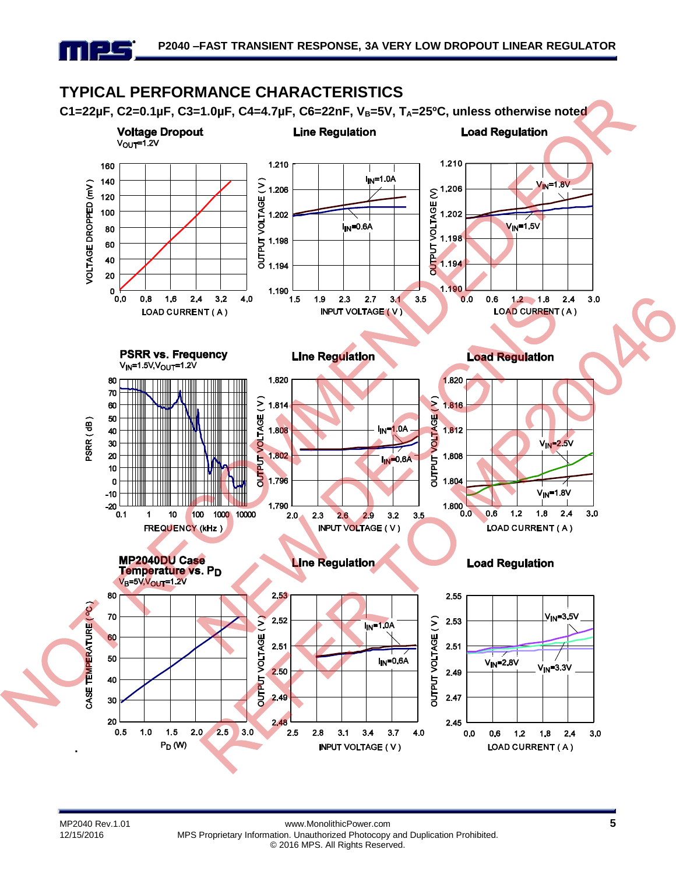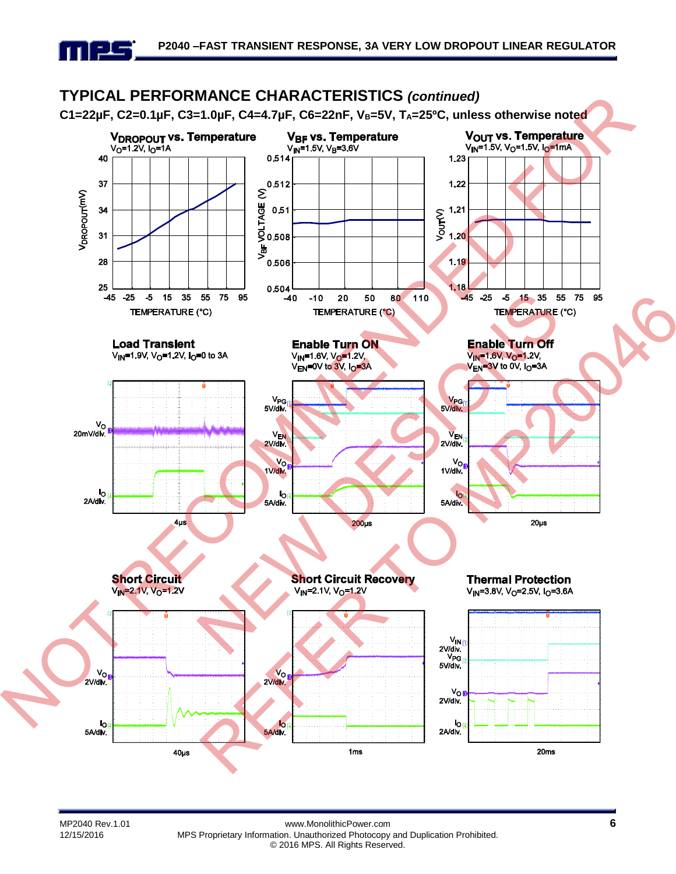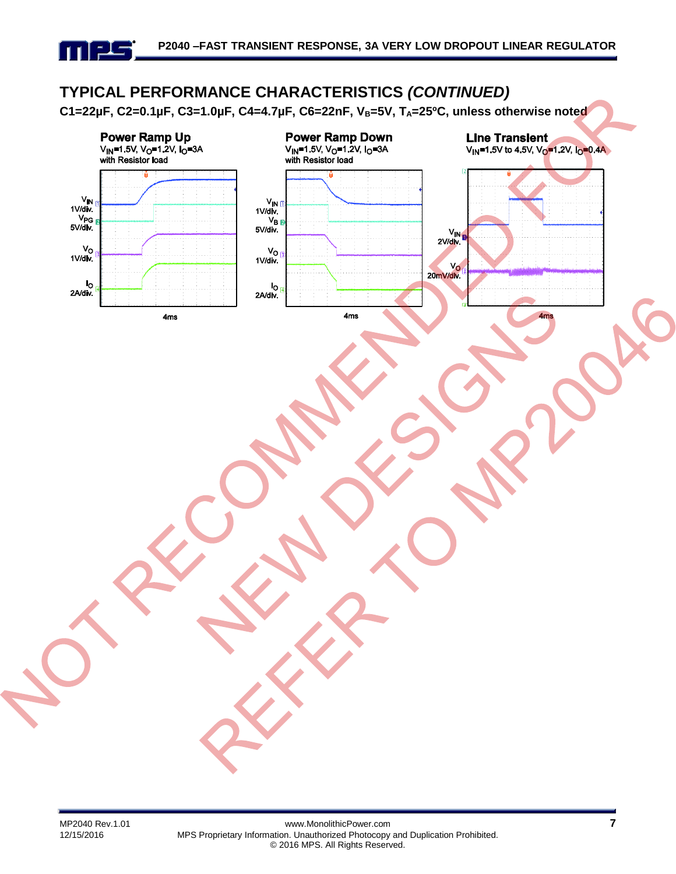# **TYPICAL PERFORMANCE CHARACTERISTICS** *(CONTINUED)*

**C1=22µF, C2=0.1µF, C3=1.0µF, C4=4.7µF, C6=22nF, VB=5V, TA=25ºC, unless otherwise noted**



mes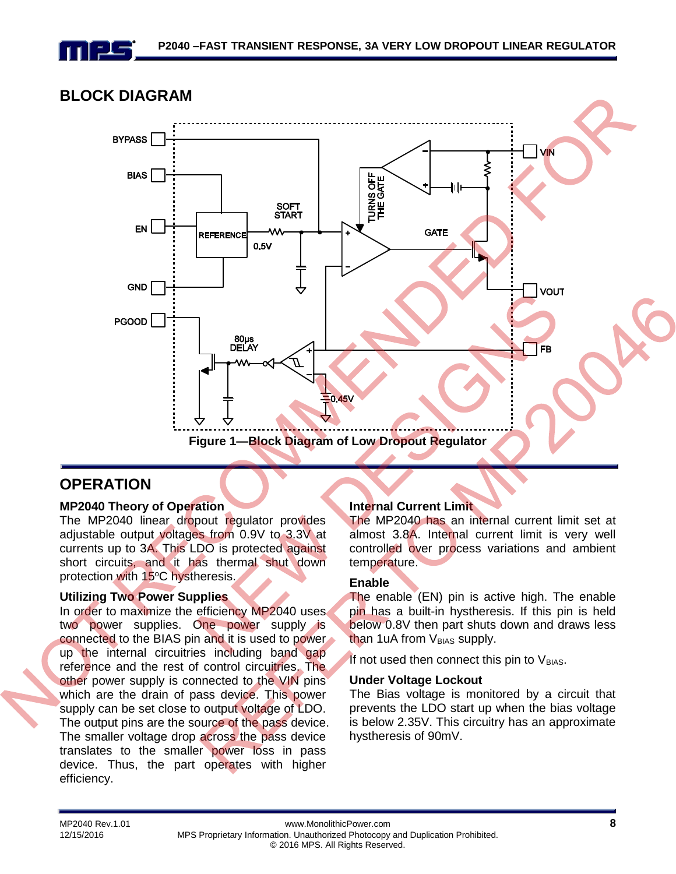

### **BLOCK DIAGRAM**



### **OPERATION**

#### **MP2040 Theory of Operation**

The MP2040 linear dropout regulator provides adjustable output voltages from 0.9V to 3.3V at currents up to 3A. This LDO is protected against short circuits, and it has thermal shut down protection with 15°C hystheresis.

#### **Utilizing Two Power Supplies**

In order to maximize the efficiency MP2040 uses two power supplies. One power supply is connected to the BIAS pin and it is used to power up the internal circuitries including band gap reference and the rest of control circuitries. The other power supply is connected to the VIN pins which are the drain of pass device. This power supply can be set close to output voltage of LDO. The output pins are the source of the pass device. The smaller voltage drop across the pass device translates to the smaller power loss in pass device. Thus, the part operates with higher efficiency.

#### **Internal Current Limit**

The MP2040 has an internal current limit set at almost 3.8A. Internal current limit is very well controlled over process variations and ambient temperature.

#### **Enable**

The enable (EN) pin is active high. The enable pin has a built-in hystheresis. If this pin is held below 0.8V then part shuts down and draws less than 1uA from V<sub>BIAS</sub> supply.

If not used then connect this pin to  $V_{BIAS}$ .

#### **Under Voltage Lockout**

The Bias voltage is monitored by a circuit that prevents the LDO start up when the bias voltage is below 2.35V. This circuitry has an approximate hystheresis of 90mV.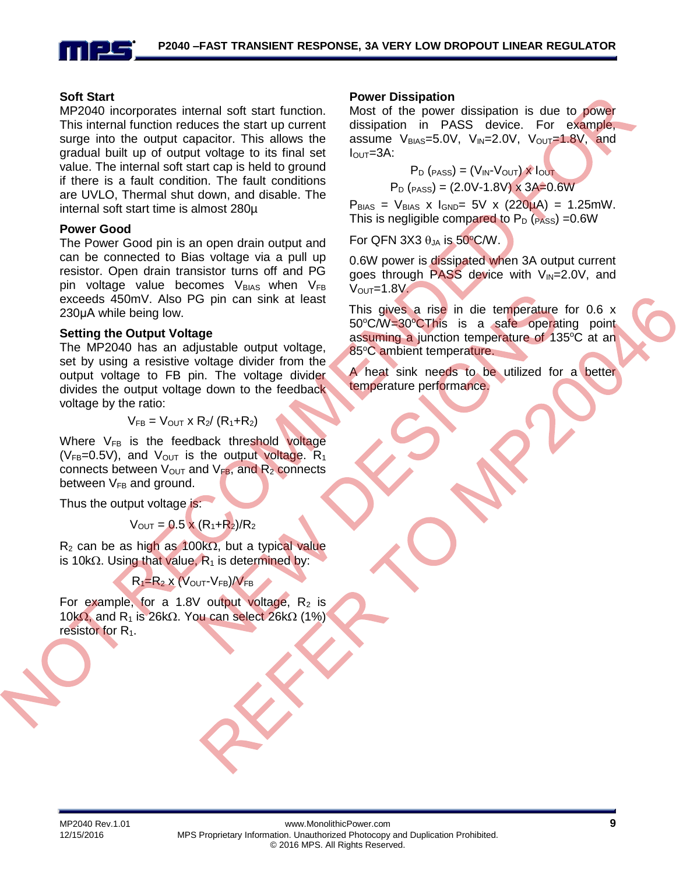

#### **Soft Start**

MP2040 incorporates internal soft start function. This internal function reduces the start up current surge into the output capacitor. This allows the gradual built up of output voltage to its final set value. The internal soft start cap is held to ground if there is a fault condition. The fault conditions are UVLO, Thermal shut down, and disable. The internal soft start time is almost 280µ

#### **Power Good**

The Power Good pin is an open drain output and can be connected to Bias voltage via a pull up resistor. Open drain transistor turns off and PG pin voltage value becomes  $V_{BIAS}$  when  $V_{FB}$ exceeds 450mV. Also PG pin can sink at least 230μA while being low.

#### **Setting the Output Voltage**

The MP2040 has an adjustable output voltage, set by using a resistive voltage divider from the output voltage to FB pin. The voltage divider divides the output voltage down to the feedback voltage by the ratio:

$$
V_{FB} = V_{OUT} \times R_2 / (R_1 + R_2)
$$

Where  $V_{FB}$  is the feedback threshold voltage ( $V_{FB}=0.5V$ ), and  $V_{OUT}$  is the output voltage.  $R_1$ connects between  $V_{\text{OUT}}$  and  $V_{FB}$ , and  $R_2$  connects between  $V_{FB}$  and ground.

Thus the output voltage is:

$$
V_{\text{OUT}} = 0.5 \times (R_1 + R_2)/R_2
$$

 $R_2$  can be as high as 100k $\Omega$ , but a typical value is 10k $\Omega$ . Using that value,  $R_1$  is determined by:

### $R_1=R_2$  x ( $V_{\text{OUT}}$ - $V_{FB}$ )/ $V_{FB}$

For example, for a 1.8V output voltage,  $R_2$  is 10k $\Omega$ , and R<sub>1</sub> is 26k $\Omega$ . You can select 26k $\Omega$  (1%) resistor for R<sub>1</sub>.

#### **Power Dissipation**

Most of the power dissipation is due to power dissipation in PASS device. For example, assume  $V_{BIAS}=5.0V$ ,  $V_{IN}=2.0V$ ,  $V_{OUT}=1.8V$ , and  $I<sub>OUT</sub>=3A$ :

$$
P_D (PASS) = (V_{IN} - V_{OUT}) \times I_{OUT}
$$

 $P_D$  ( $PASS$ ) = (2.0V-1.8V) x 3A=0.6W

 $P_{BIAS} = V_{BIAS} \times I_{GND} = 5V \times (220 \mu A) = 1.25 \text{mW}.$ This is negligible compared to  $P_D$  ( $PASS$ ) =0.6W

For QFN 3X3  $\theta_{JA}$  is 50°C/W.

0.6W power is dissipated when 3A output current goes through PASS device with  $V_{\text{IN}}=2.0V$ , and  $V<sub>OUT</sub>=1.8V.$ 

This gives a rise in die temperature for 0.6 x 50°C/W=30°CThis is a safe operating point assuming a junction temperature of 135°C at an 85°C ambient temperature.

A heat sink needs to be utilized for a better temperature performance.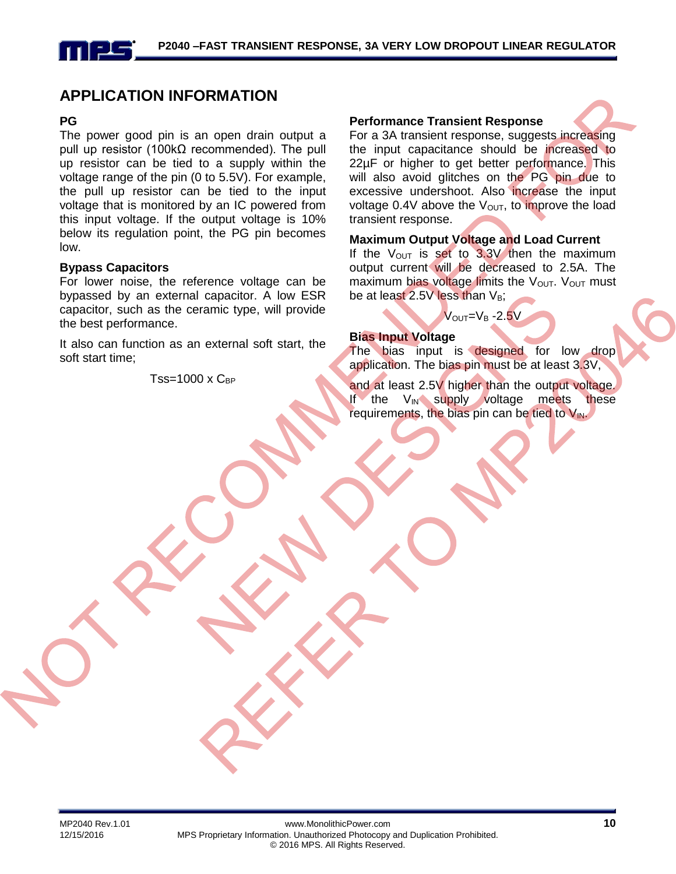### **APPLICATION INFORMATION**

#### **PG**

The power good pin is an open drain output a pull up resistor (100kΩ recommended). The pull up resistor can be tied to a supply within the voltage range of the pin (0 to 5.5V). For example, the pull up resistor can be tied to the input voltage that is monitored by an IC powered from this input voltage. If the output voltage is 10% below its regulation point, the PG pin becomes low.

#### **Bypass Capacitors**

For lower noise, the reference voltage can be bypassed by an external capacitor. A low ESR capacitor, such as the ceramic type, will provide the best performance.

It also can function as an external soft start, the soft start time;

 $Tss=1000 \times C_{BP}$ 

#### **Performance Transient Response**

For a 3A transient response, suggests increasing the input capacitance should be increased to 22µF or higher to get better performance. This will also avoid glitches on the PG pin due to excessive undershoot. Also increase the input voltage 0.4V above the  $V_{\text{OUT}}$ , to improve the load transient response.

#### **Maximum Output Voltage and Load Current**

If the  $V_{\text{OUT}}$  is set to 3.3V then the maximum output current will be decreased to 2.5A. The maximum bias voltage limits the  $V_{\text{OUT}}$ .  $V_{\text{OUT}}$  must be at least 2.5V less than  $V_B$ ;

#### $V_{\text{OUT}}=V_{\text{B}}$  -2.5V

#### **Bias Input Voltage**

The bias input is designed for low drop application. The bias pin must be at least 3.3V,

and at least 2.5V higher than the output voltage. If the  $V_{\text{IN}}$  supply voltage meets these requirements, the bias pin can be tied to  $V_{\text{IN}}$ .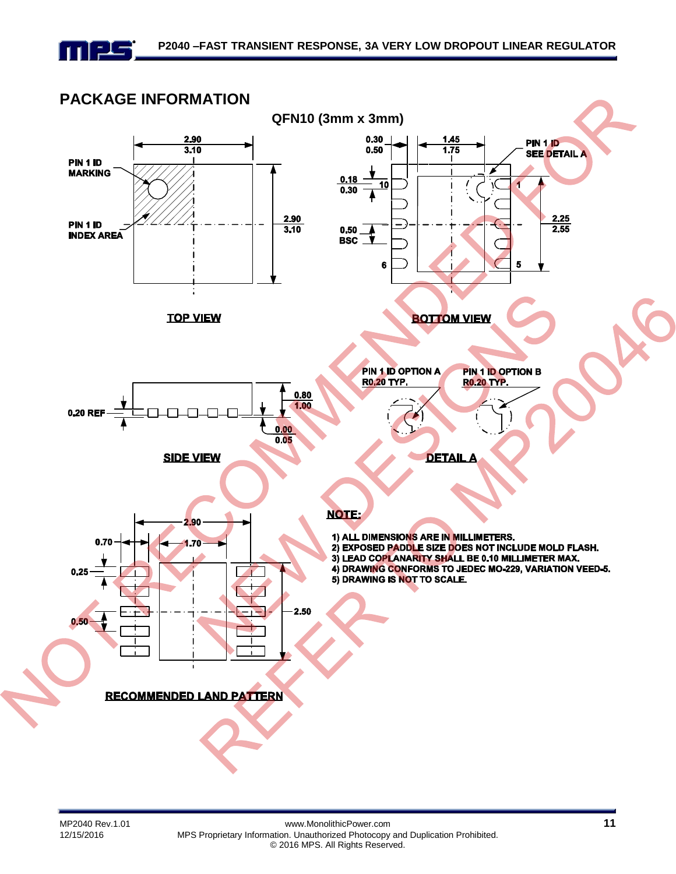

# **PACKAGE INFORMATION**